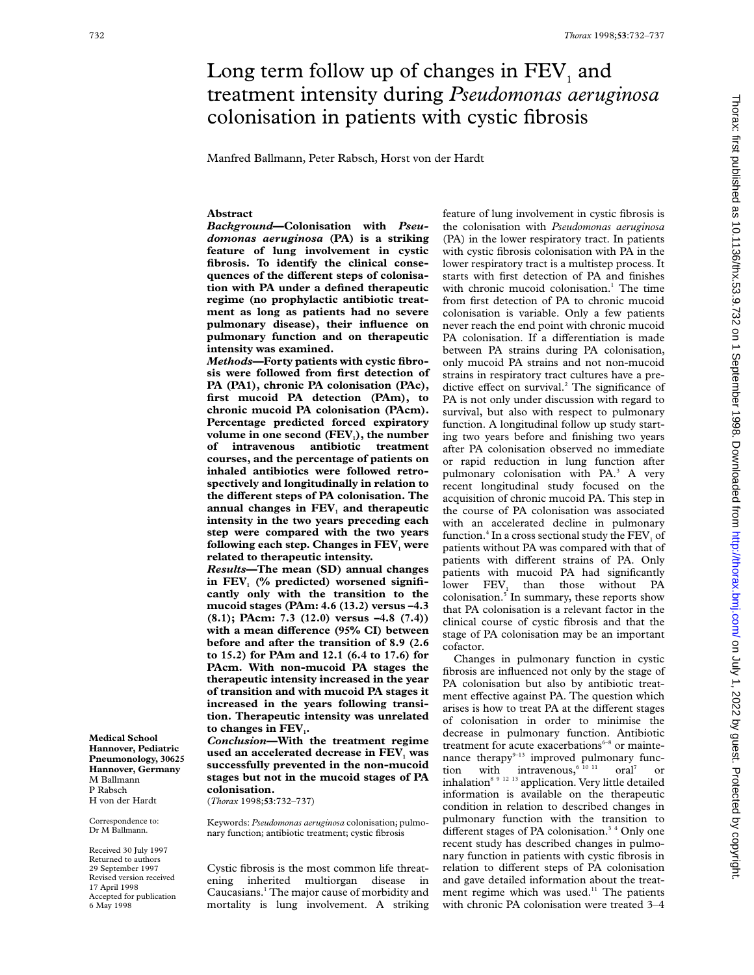# Long term follow up of changes in  $FEV<sub>1</sub>$  and treatment intensity during *Pseudomonas aeruginosa* colonisation in patients with cystic fibrosis

Manfred Ballmann, Peter Rabsch, Horst von der Hardt

# **Abstract**

*Background***—Colonisation with** *Pseudomonas aeruginosa* **(PA) is a striking feature of lung involvement in cystic fibrosis. To identify the clinical conse**quences of the different steps of colonisa**tion with PA under a defined therapeutic regime (no prophylactic antibiotic treatment as long as patients had no severe pulmonary disease), their influence on pulmonary function and on therapeutic intensity was examined.**

*Methods***—Forty patients with cystic fibrosis were followed from first detection of PA (PA1), chronic PA colonisation (PAc), first mucoid PA detection (PAm), to chronic mucoid PA colonisation (PAcm). Percentage predicted forced expiratory** volume in one second (FEV<sub>1</sub>), the number **of intravenous antibiotic treatment courses, and the percentage of patients on inhaled antibiotics were followed retrospectively and longitudinally in relation to the diVerent steps of PA colonisation. The** annual changes in FEV<sub>1</sub> and therapeutic **intensity in the two years preceding each step were compared with the two years following each step. Changes in FEV**, were **related to therapeutic intensity.**

*Results***—The mean (SD) annual changes** in FEV<sub>1</sub> (% predicted) worsened signifi**cantly only with the transition to the mucoid stages (PAm: 4.6 (13.2) versus –4.3 (8.1); PAcm: 7.3 (12.0) versus –4.8 (7.4))** with a mean difference (95% CI) between **before and after the transition of 8.9 (2.6 to 15.2) for PAm and 12.1 (6.4 to 17.6) for PAcm. With non-mucoid PA stages the therapeutic intensity increased in the year of transition and with mucoid PA stages it increased in the years following transition. Therapeutic intensity was unrelated** to changes in FEV<sub>1</sub>.

*Conclusion***—With the treatment regime** used an accelerated decrease in FEV<sub>1</sub> was **successfully prevented in the non-mucoid stages but not in the mucoid stages of PA colonisation.**

(*Thorax* 1998;**53**:732–737)

Keywords: *Pseudomonas aeruginosa* colonisation; pulmonary function; antibiotic treatment; cystic fibrosis

Cystic fibrosis is the most common life threatening inherited multiorgan disease in Caucasians.1 The major cause of morbidity and mortality is lung involvement. A striking

feature of lung involvement in cystic fibrosis is the colonisation with *Pseudomonas aeruginosa* (PA) in the lower respiratory tract. In patients with cystic fibrosis colonisation with PA in the lower respiratory tract is a multistep process. It starts with first detection of PA and finishes with chronic mucoid colonisation.<sup>1</sup> The time from first detection of PA to chronic mucoid colonisation is variable. Only a few patients never reach the end point with chronic mucoid PA colonisation. If a differentiation is made between PA strains during PA colonisation, only mucoid PA strains and not non-mucoid strains in respiratory tract cultures have a predictive effect on survival.<sup>2</sup> The significance of PA is not only under discussion with regard to survival, but also with respect to pulmonary function. A longitudinal follow up study starting two years before and finishing two years after PA colonisation observed no immediate or rapid reduction in lung function after pulmonary colonisation with PA.<sup>3</sup> A very recent longitudinal study focused on the acquisition of chronic mucoid PA. This step in the course of PA colonisation was associated with an accelerated decline in pulmonary function.<sup>4</sup> In a cross sectional study the  $FEV<sub>1</sub>$  of patients without PA was compared with that of patients with different strains of PA. Only patients with mucoid PA had significantly lower FEV, than those without PA colonisation.5 In summary, these reports show that PA colonisation is a relevant factor in the clinical course of cystic fibrosis and that the stage of PA colonisation may be an important cofactor.

Changes in pulmonary function in cystic fibrosis are influenced not only by the stage of PA colonisation but also by antibiotic treatment effective against PA. The question which arises is how to treat PA at the different stages of colonisation in order to minimise the decrease in pulmonary function. Antibiotic treatment for acute exacerbations $6-8$  or maintenance therapy $9-13$  improved pulmonary function with intravenous,  $6^{10}$  11 oral<sup>7</sup> or inhalation<sup>8 9 12 13</sup> application. Very little detailed information is available on the therapeutic condition in relation to described changes in pulmonary function with the transition to different stages of PA colonisation.<sup>34</sup> Only one recent study has described changes in pulmonary function in patients with cystic fibrosis in relation to different steps of PA colonisation and gave detailed information about the treatment regime which was used.<sup>11</sup> The patients with chronic PA colonisation were treated 3–4

P Rabsch H von der Hardt Correspondence to: Dr M Ballmann. Received 30 July 1997

**Medical School Hannover, Pediatric Pneumonology, 30625 Hannover, Germany** M Ballmann

Returned to authors 29 September 1997 Revised version received 17 April 1998 Accepted for publication 6 May 1998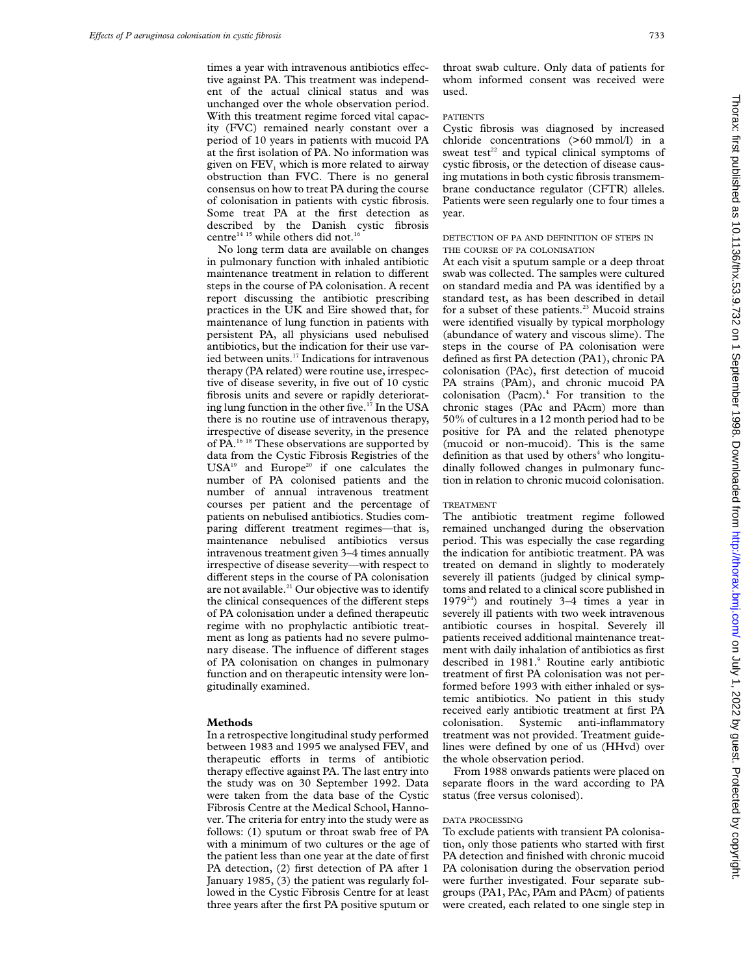times a year with intravenous antibiotics effective against PA. This treatment was independent of the actual clinical status and was unchanged over the whole observation period. With this treatment regime forced vital capacity (FVC) remained nearly constant over a period of 10 years in patients with mucoid PA at the first isolation of PA. No information was given on FEV, which is more related to airway obstruction than FVC. There is no general consensus on how to treat PA during the course of colonisation in patients with cystic fibrosis. Some treat PA at the first detection as described by the Danish cystic fibrosis centre<sup>14 15</sup> while others did not.<sup>16</sup>

No long term data are available on changes in pulmonary function with inhaled antibiotic maintenance treatment in relation to different steps in the course of PA colonisation. A recent report discussing the antibiotic prescribing practices in the UK and Eire showed that, for maintenance of lung function in patients with persistent PA, all physicians used nebulised antibiotics, but the indication for their use varied between units.<sup>17</sup> Indications for intravenous therapy (PA related) were routine use, irrespective of disease severity, in five out of 10 cystic fibrosis units and severe or rapidly deteriorating lung function in the other five.<sup>17</sup> In the USA there is no routine use of intravenous therapy, irrespective of disease severity, in the presence of PA.<sup>16 18</sup> These observations are supported by data from the Cystic Fibrosis Registries of the USA<sup>19</sup> and Europe<sup>20</sup> if one calculates the number of PA colonised patients and the number of annual intravenous treatment courses per patient and the percentage of patients on nebulised antibiotics. Studies comparing different treatment regimes—that is, maintenance nebulised antibiotics versus intravenous treatment given 3–4 times annually irrespective of disease severity—with respect to different steps in the course of PA colonisation are not available.<sup>21</sup> Our objective was to identify the clinical consequences of the different steps of PA colonisation under a defined therapeutic regime with no prophylactic antibiotic treatment as long as patients had no severe pulmonary disease. The influence of different stages of PA colonisation on changes in pulmonary function and on therapeutic intensity were longitudinally examined.

#### **Methods**

In a retrospective longitudinal study performed between 1983 and 1995 we analysed FEV<sub>1</sub> and therapeutic efforts in terms of antibiotic therapy effective against PA. The last entry into the study was on 30 September 1992. Data were taken from the data base of the Cystic Fibrosis Centre at the Medical School, Hannover. The criteria for entry into the study were as follows: (1) sputum or throat swab free of PA with a minimum of two cultures or the age of the patient less than one year at the date of first PA detection, (2) first detection of PA after 1 January 1985, (3) the patient was regularly followed in the Cystic Fibrosis Centre for at least three years after the first PA positive sputum or

throat swab culture. Only data of patients for whom informed consent was received were used.

## PATIENTS

Cystic fibrosis was diagnosed by increased chloride concentrations (>60 mmol/l) in a sweat test<sup>22</sup> and typical clinical symptoms of cystic fibrosis, or the detection of disease causing mutations in both cystic fibrosis transmembrane conductance regulator (CFTR) alleles. Patients were seen regularly one to four times a year.

# DETECTION OF PA AND DEFINITION OF STEPS IN THE COURSE OF PA COLONISATION

At each visit a sputum sample or a deep throat swab was collected. The samples were cultured on standard media and PA was identified by a standard test, as has been described in detail for a subset of these patients.<sup>23</sup> Mucoid strains were identified visually by typical morphology (abundance of watery and viscous slime). The steps in the course of PA colonisation were defined as first PA detection (PA1), chronic PA colonisation (PAc), first detection of mucoid PA strains (PAm), and chronic mucoid PA colonisation (Pacm).4 For transition to the chronic stages (PAc and PAcm) more than 50% of cultures in a 12 month period had to be positive for PA and the related phenotype (mucoid or non-mucoid). This is the same definition as that used by others<sup>4</sup> who longitudinally followed changes in pulmonary function in relation to chronic mucoid colonisation.

## TREATMENT

The antibiotic treatment regime followed remained unchanged during the observation period. This was especially the case regarding the indication for antibiotic treatment. PA was treated on demand in slightly to moderately severely ill patients (judged by clinical symptoms and related to a clinical score published in 1979<sup>24</sup>) and routinely 3–4 times a year in severely ill patients with two week intravenous antibiotic courses in hospital. Severely ill patients received additional maintenance treatment with daily inhalation of antibiotics as first described in 1981.9 Routine early antibiotic treatment of first PA colonisation was not performed before 1993 with either inhaled or systemic antibiotics. No patient in this study received early antibiotic treatment at first PA colonisation. Systemic anti-inflammatory treatment was not provided. Treatment guidelines were defined by one of us (HHvd) over the whole observation period.

From 1988 onwards patients were placed on separate floors in the ward according to PA status (free versus colonised).

#### DATA PROCESSING

To exclude patients with transient PA colonisation, only those patients who started with first PA detection and finished with chronic mucoid PA colonisation during the observation period were further investigated. Four separate subgroups (PA1, PAc, PAm and PAcm) of patients were created, each related to one single step in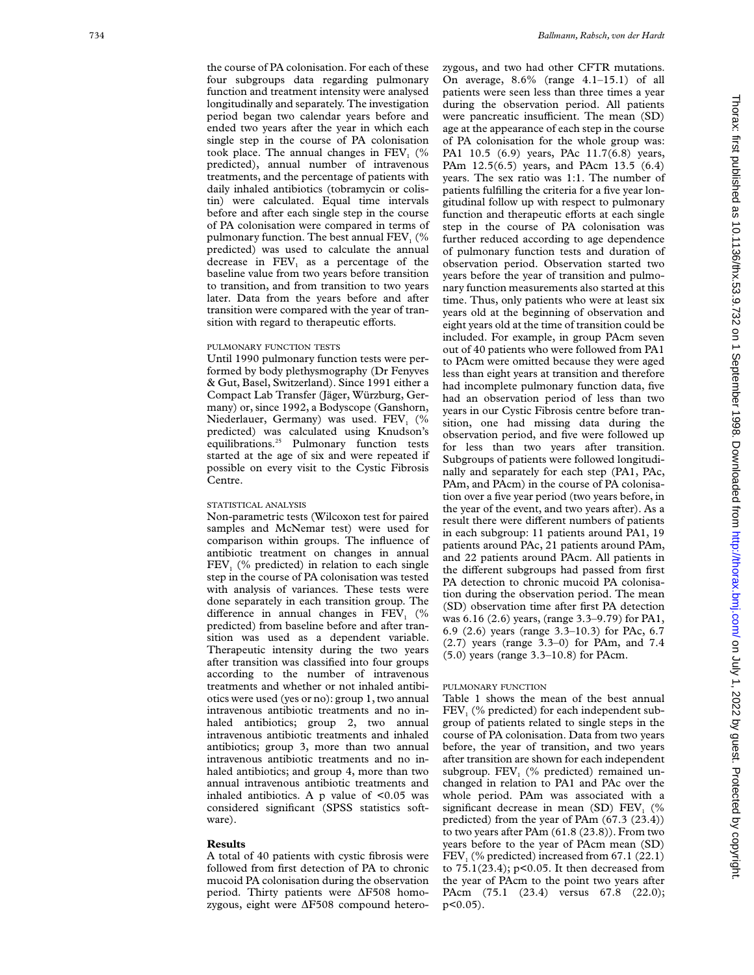the course of PA colonisation. For each of these four subgroups data regarding pulmonary function and treatment intensity were analysed longitudinally and separately. The investigation period began two calendar years before and ended two years after the year in which each single step in the course of PA colonisation took place. The annual changes in  $FEV<sub>1</sub>$  (% predicted), annual number of intravenous treatments, and the percentage of patients with daily inhaled antibiotics (tobramycin or colistin) were calculated. Equal time intervals before and after each single step in the course of PA colonisation were compared in terms of pulmonary function. The best annual  $\text{FEV}_1$  (% predicted) was used to calculate the annual decrease in  $FEV<sub>1</sub>$  as a percentage of the baseline value from two years before transition to transition, and from transition to two years later. Data from the years before and after transition were compared with the year of transition with regard to therapeutic efforts.

#### PULMONARY FUNCTION TESTS

Until 1990 pulmonary function tests were performed by body plethysmography (Dr Fenyves & Gut, Basel, Switzerland). Since 1991 either a Compact Lab Transfer (Jäger, Würzburg, Germany) or, since 1992, a Bodyscope (Ganshorn, Niederlauer, Germany) was used. FEV<sub>1</sub> (% predicted) was calculated using Knudson's equilibrations.<sup>25</sup> Pulmonary function tests started at the age of six and were repeated if possible on every visit to the Cystic Fibrosis Centre.

# STATISTICAL ANALYSIS

Non-parametric tests (Wilcoxon test for paired samples and McNemar test) were used for comparison within groups. The influence of antibiotic treatment on changes in annual FEV<sub>1</sub> (% predicted) in relation to each single step in the course of PA colonisation was tested with analysis of variances. These tests were done separately in each transition group. The difference in annual changes in  $\overrightarrow{FEV}_1$  (% predicted) from baseline before and after transition was used as a dependent variable. Therapeutic intensity during the two years after transition was classified into four groups according to the number of intravenous treatments and whether or not inhaled antibiotics were used (yes or no): group 1, two annual intravenous antibiotic treatments and no inhaled antibiotics; group 2, two annual intravenous antibiotic treatments and inhaled antibiotics; group 3, more than two annual intravenous antibiotic treatments and no inhaled antibiotics; and group 4, more than two annual intravenous antibiotic treatments and inhaled antibiotics. A p value of  $\leq 0.05$  was considered significant (SPSS statistics software).

# **Results**

A total of 40 patients with cystic fibrosis were followed from first detection of PA to chronic mucoid PA colonisation during the observation period. Thirty patients were ÄF508 homozygous, eight were  $\Delta$ F508 compound heterozygous, and two had other CFTR mutations. On average, 8.6% (range 4.1–15.1) of all patients were seen less than three times a year during the observation period. All patients were pancreatic insufficient. The mean (SD) age at the appearance of each step in the course of PA colonisation for the whole group was: PA1 10.5 (6.9) years, PAc 11.7(6.8) years, PAm 12.5(6.5) years, and PAcm 13.5 (6.4) years. The sex ratio was 1:1. The number of patients fulfilling the criteria for a five year longitudinal follow up with respect to pulmonary function and therapeutic efforts at each single step in the course of PA colonisation was further reduced according to age dependence of pulmonary function tests and duration of observation period. Observation started two years before the year of transition and pulmonary function measurements also started at this time. Thus, only patients who were at least six years old at the beginning of observation and eight years old at the time of transition could be included. For example, in group PAcm seven out of 40 patients who were followed from PA1 to PAcm were omitted because they were aged less than eight years at transition and therefore had incomplete pulmonary function data, five had an observation period of less than two years in our Cystic Fibrosis centre before transition, one had missing data during the observation period, and five were followed up for less than two years after transition. Subgroups of patients were followed longitudinally and separately for each step (PA1, PAc, PAm, and PAcm) in the course of PA colonisation over a five year period (two years before, in the year of the event, and two years after). As a result there were different numbers of patients in each subgroup: 11 patients around PA1, 19 patients around PAc, 21 patients around PAm, and 22 patients around PAcm. All patients in the different subgroups had passed from first PA detection to chronic mucoid PA colonisation during the observation period. The mean (SD) observation time after first PA detection was 6.16 (2.6) years, (range 3.3–9.79) for PA1, 6.9 (2.6) years (range 3.3–10.3) for PAc, 6.7 (2.7) years (range 3.3–0) for PAm, and 7.4 (5.0) years (range 3.3–10.8) for PAcm.

## PULMONARY FUNCTION

Table 1 shows the mean of the best annual FEV<sub>1</sub> (% predicted) for each independent subgroup of patients related to single steps in the course of PA colonisation. Data from two years before, the year of transition, and two years after transition are shown for each independent subgroup. FEV <sup>1</sup> (% predicted) remained unchanged in relation to PA1 and PAc over the whole period. PAm was associated with a significant decrease in mean (SD)  $FEV<sub>1</sub>$  (% predicted) from the year of PAm (67.3 (23.4)) to two years after PAm (61.8 (23.8)). From two years before to the year of PAcm mean (SD)  $\text{FEV}_1$  (% predicted) increased from 67.1 (22.1) to 75.1(23.4); p<0.05. It then decreased from the year of PAcm to the point two years after PAcm (75.1 (23.4) versus 67.8 (22.0);  $p<0.05$ ).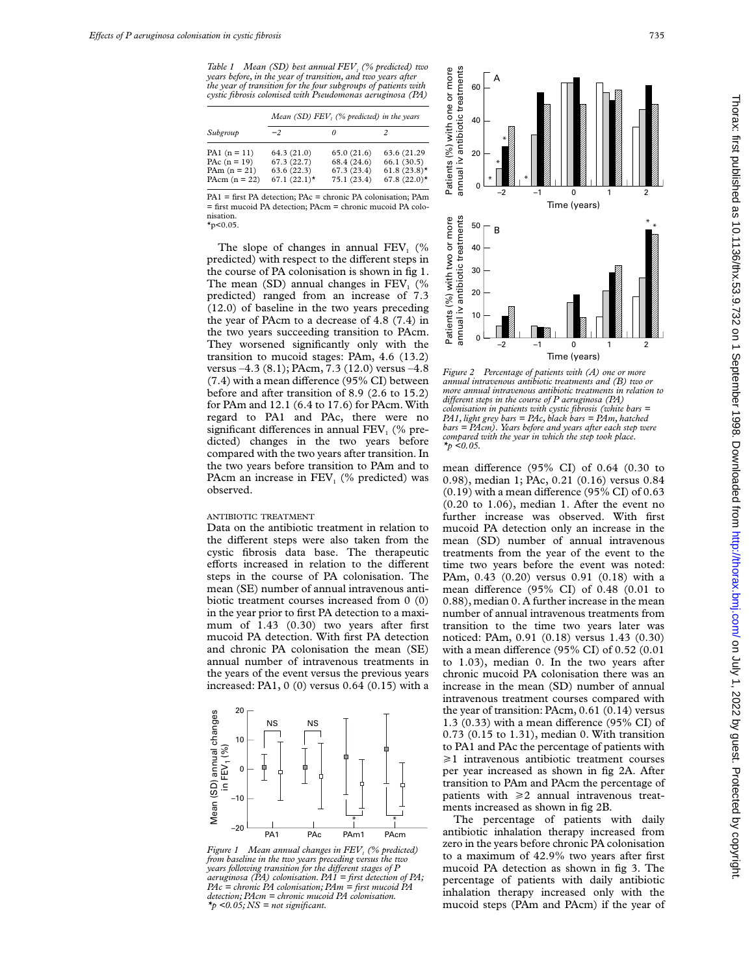*Table 1 Mean (SD) best annual FEV<sub>1</sub> (% predicted) two years before, in the year of transition, and two years after the year of transition for the four subgroups of patients with cystic fibrosis colonised with Pseudomonas aeruginosa (PA)*

|                                                                       | Mean (SD) $FEV_1$ (% predicted) in the years              |                                                         |                                                                  |
|-----------------------------------------------------------------------|-----------------------------------------------------------|---------------------------------------------------------|------------------------------------------------------------------|
| Subgroup                                                              | $-2$                                                      |                                                         |                                                                  |
| PA1 $(n = 11)$<br>PA $c(n = 19)$<br>PAm $(n = 21)$<br>PAcm $(n = 22)$ | 64.3(21.0)<br>67.3(22.7)<br>63.6(22.3)<br>$67.1 (22.1)$ * | 65.0(21.6)<br>68.4 (24.6)<br>67.3 (23.4)<br>75.1 (23.4) | 63.6 (21.29)<br>66.1(30.5)<br>61.8 $(23.8)$ *<br>67.8 $(22.0)$ * |

PA1 = first PA detection; PAc = chronic PA colonisation; PAm = first mucoid PA detection; PAcm = chronic mucoid PA colonisation.  $*_{p<0.05}$ .

The slope of changes in annual  $FEV<sub>1</sub>$  (%) predicted) with respect to the different steps in the course of PA colonisation is shown in fig 1. The mean (SD) annual changes in  $FEV<sub>1</sub>$  (% predicted) ranged from an increase of 7.3 (12.0) of baseline in the two years preceding the year of PAcm to a decrease of 4.8 (7.4) in the two years succeeding transition to PAcm. They worsened significantly only with the transition to mucoid stages: PAm, 4.6 (13.2) versus –4.3 (8.1); PAcm, 7.3 (12.0) versus –4.8  $(7.4)$  with a mean difference (95% CI) between before and after transition of 8.9 (2.6 to 15.2) for PAm and 12.1 (6.4 to 17.6) for PAcm. With regard to PA1 and PAc, there were no significant differences in annual  $FEV<sub>1</sub>$  (% predicted) changes in the two years before compared with the two years after transition. In the two years before transition to PAm and to PAcm an increase in FEV<sub>1</sub> (% predicted) was observed.

## ANTIBIOTIC TREATMENT

Data on the antibiotic treatment in relation to the different steps were also taken from the cystic fibrosis data base. The therapeutic efforts increased in relation to the different steps in the course of PA colonisation. The mean (SE) number of annual intravenous antibiotic treatment courses increased from 0 (0) in the year prior to first PA detection to a maximum of 1.43 (0.30) two years after first mucoid PA detection. With first PA detection and chronic PA colonisation the mean (SE) annual number of intravenous treatments in the years of the event versus the previous years increased: PA1, 0 (0) versus 0.64 (0.15) with a



*Figure 1 Mean annual changes in FEV<sub>1</sub> (% predicted) from baseline in the two years preceding versus the two years following transition for the diVerent stages of P aeruginosa (PA) colonisation. PA1 = first detection of PA; PAc = chronic PA colonisation; PAm = first mucoid PA detection; PAcm = chronic mucoid PA colonisation. \*p <0.05; NS = not significant.*



*Figure 2 Percentage of patients with (A) one or more annual intravenous antibiotic treatments and (B) two or more annual intravenous antibiotic treatments in relation to* different steps in the course of P aeruginosa (PA) *colonisation in patients with cystic fibrosis (white bars = PA1, light grey bars = PAc, black bars = PAm, hatched bars = PAcm). Years before and years after each step were compared with the year in which the step took place. \*p <0.05.*

mean difference (95% CI) of  $0.64$  (0.30 to 0.98), median 1; PAc, 0.21 (0.16) versus 0.84  $(0.19)$  with a mean difference  $(95\%$  CI) of  $0.63$ (0.20 to 1.06), median 1. After the event no further increase was observed. With first mucoid PA detection only an increase in the mean (SD) number of annual intravenous treatments from the year of the event to the time two years before the event was noted: PAm, 0.43 (0.20) versus 0.91 (0.18) with a mean difference (95% CI) of  $0.48$  (0.01 to 0.88), median 0. A further increase in the mean number of annual intravenous treatments from transition to the time two years later was noticed: PAm, 0.91 (0.18) versus 1.43 (0.30) with a mean difference (95% CI) of  $0.52$  (0.01 to 1.03), median 0. In the two years after chronic mucoid PA colonisation there was an increase in the mean (SD) number of annual intravenous treatment courses compared with the year of transition: PAcm, 0.61 (0.14) versus 1.3 (0.33) with a mean difference (95% CI) of 0.73 (0.15 to 1.31), median 0. With transition to PA1 and PAc the percentage of patients with  $\geq 1$  intravenous antibiotic treatment courses per year increased as shown in fig 2A. After transition to PAm and PAcm the percentage of patients with  $\geq 2$  annual intravenous treatments increased as shown in fig 2B.

The percentage of patients with daily antibiotic inhalation therapy increased from zero in the years before chronic PA colonisation to a maximum of 42.9% two years after first mucoid PA detection as shown in fig 3. The percentage of patients with daily antibiotic inhalation therapy increased only with the mucoid steps (PAm and PAcm) if the year of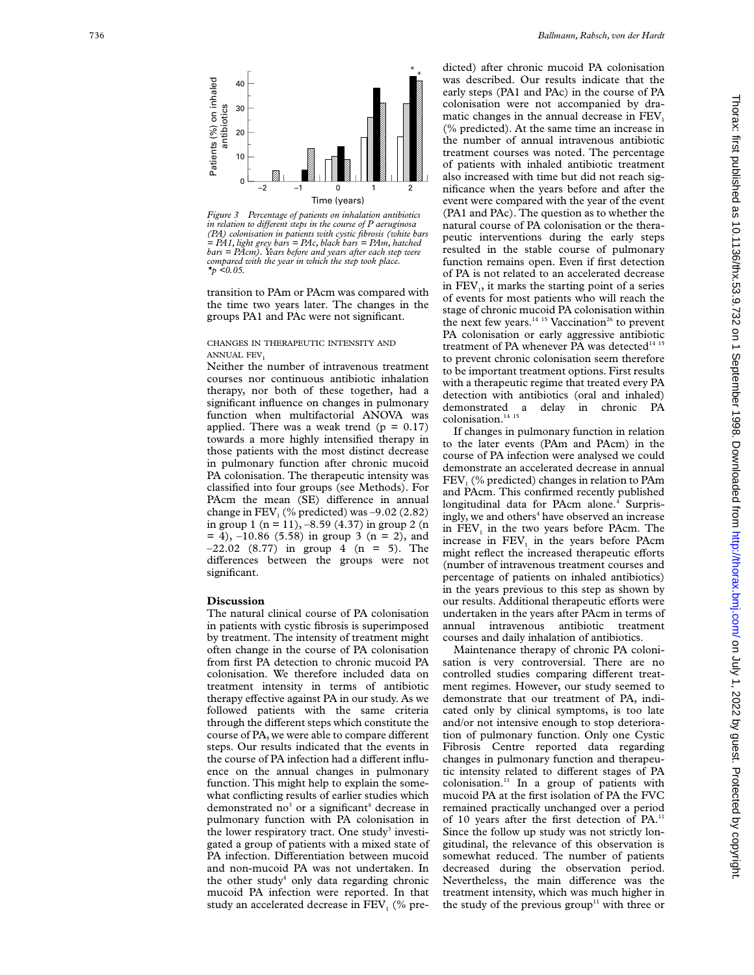

*Figure 3 Percentage of patients on inhalation antibiotics in relation to diVerent steps in the course of P aeruginosa (PA) colonisation in patients with cystic fibrosis (white bars = PA1, light grey bars = PAc, black bars = PAm, hatched bars = PAcm). Years before and years after each step were compared with the year in which the step took place. \*p <0.05.*

transition to PAm or PAcm was compared with the time two years later. The changes in the groups PA1 and PAc were not significant.

# CHANGES IN THERAPEUTIC INTENSITY AND ANNUAL FEV 1

Neither the number of intravenous treatment courses nor continuous antibiotic inhalation therapy, nor both of these together, had a significant influence on changes in pulmonary function when multifactorial ANOVA was applied. There was a weak trend  $(p = 0.17)$ towards a more highly intensified therapy in those patients with the most distinct decrease in pulmonary function after chronic mucoid PA colonisation. The therapeutic intensity was classified into four groups (see Methods). For PAcm the mean (SE) difference in annual change in  $FEV<sub>1</sub>$  (% predicted) was  $-9.02$  (2.82) in group 1 (n = 11), –8.59 (4.37) in group 2 (n  $= 4$ ),  $-10.86$  (5.58) in group 3 (n = 2), and  $-22.02$  (8.77) in group 4 (n = 5). The differences between the groups were not significant.

## **Discussion**

The natural clinical course of PA colonisation in patients with cystic fibrosis is superimposed by treatment. The intensity of treatment might often change in the course of PA colonisation from first PA detection to chronic mucoid PA colonisation. We therefore included data on treatment intensity in terms of antibiotic therapy effective against PA in our study. As we followed patients with the same criteria through the different steps which constitute the course of PA, we were able to compare different steps. Our results indicated that the events in the course of PA infection had a different influence on the annual changes in pulmonary function. This might help to explain the somewhat conflicting results of earlier studies which demonstrated no <sup>3</sup> or a significant <sup>4</sup> decrease in pulmonary function with PA colonisation in the lower respiratory tract. One study<sup>3</sup> investigated a group of patients with a mixed state of PA infection. Differentiation between mucoid and non-mucoid PA was not undertaken. In the other study <sup>4</sup> only data regarding chronic mucoid PA infection were reported. In that study an accelerated decrease in FEV<sub>1</sub> (% pre-

dicted) after chronic mucoid PA colonisation was described. Our results indicate that the early steps (PA1 and PAc) in the course of PA colonisation were not accompanied by dramatic changes in the annual decrease in  $FEV<sub>1</sub>$ (% predicted). At the same time an increase in the number of annual intravenous antibiotic treatment courses was noted. The percentage of patients with inhaled antibiotic treatment also increased with time but did not reach significance when the years before and after the event were compared with the year of the event (PA1 and PAc). The question as to whether the natural course of PA colonisation or the therapeutic interventions during the early steps resulted in the stable course of pulmonary function remains open. Even if first detection of PA is not related to an accelerated decrease in FEV 1, it marks the starting point of a series of events for most patients who will reach the stage of chronic mucoid PA colonisation within the next few years.<sup>14 15</sup> Vaccination<sup>26</sup> to prevent PA colonisation or early aggressive antibiotic treatment of PA whenever PA was detected<sup>14 15</sup> to prevent chronic colonisation seem therefore to be important treatment options. First results with a therapeutic regime that treated every PA detection with antibiotics (oral and inhaled) demonstrated a delay in chronic PA colonisation.<sup>14</sup><sup>15</sup>

If changes in pulmonary function in relation to the later events (PAm and PAcm) in the course of PA infection were analysed we could demonstrate an accelerated decrease in annual FEV <sup>1</sup> (% predicted) changes in relation to PAm and PAcm. This confirmed recently published longitudinal data for PAcm alone. <sup>4</sup> Surprisingly, we and others<sup>4</sup> have observed an increase in FEV <sup>1</sup> in the two years before PAcm. The increase in FEV <sup>1</sup> in the years before PAcm might reflect the increased therapeutic efforts (number of intravenous treatment courses and percentage of patients on inhaled antibiotics) in the years previous to this step as shown by our results. Additional therapeutic efforts were undertaken in the years after PAcm in terms of annual intravenous antibiotic treatment courses and daily inhalation of antibiotics.

Maintenance therapy of chronic PA colonisation is very controversial. There are no controlled studies comparing different treatment regimes. However, our study seemed to demonstrate that our treatment of PA, indicated only by clinical symptoms, is too late and/or not intensive enough to stop deterioration of pulmonary function. Only one Cystic Fibrosis Centre reported data regarding changes in pulmonary function and therapeutic intensity related to different stages of PA colonisation. $\frac{11}{1}$  In a group of patients with mucoid PA at the first isolation of PA the FVC remained practically unchanged over a period of 10 years after the first detection of PA.<sup>11</sup> Since the follow up study was not strictly longitudinal, the relevance of this observation is somewhat reduced. The number of patients decreased during the observation period. Nevertheless, the main difference was the treatment intensity, which was much higher in the study of the previous group<sup>11</sup> with three or